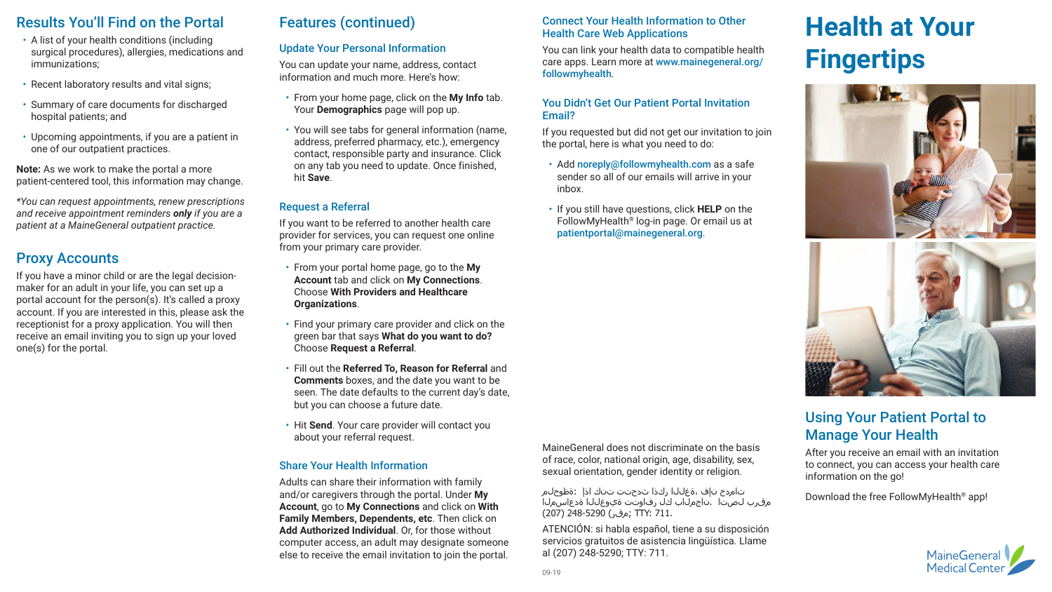# **Health at Your Fingertips**



## Using Your Patient Portal to Manage Your Health After you receive an email with an invitation

to connect, you can access your health care information on the go!

Download the free FollowMyHealth® app!



# Results You'll Find on the Portal

- A list of your health conditions (including surgical procedures), allergies, medications and immunizations;
- Recent laboratory results and vital signs;
- Summary of care documents for discharged hospital patients; and
- Upcoming appointments, if you are a patient in one of our outpatient practices.

**Note:** As we work to make the portal a more patient-centered tool, this information may change.

*\*You can request appointments, renew prescriptions and receive appointment reminders only if you are a patient at a MaineGeneral outpatient practice.*

# Proxy Accounts

If you have a minor child or are the legal decisionmaker for an adult in your life, you can set up a portal account for the person(s). It's called a proxy account. If you are interested in this, please ask the receptionist for a proxy application. You will then receive an email inviting you to sign up your loved one(s) for the portal.

# Features (continued)

## Update Your Personal Information

You can update your name, address, contact information and much more. Here's how:

- From your home page, click on the **My Info** tab. Your **Demographics** page will pop up.
- You will see tabs for general information (name, address, preferred pharmacy, etc.), emergency contact, responsible party and insurance. Click on any tab you need to update. Once finished, hit **Save**.
- Add noreply@followmyhealth.com as a safe sender so all of our emails will arrive in your inbox.
- If you still have questions, click **HELP** on the FollowMyHealth® log-in page. Or email us at patientportal@mainegeneral.org.

## Request a Referral

If you want to be referred to another health care provider for services, you can request one online from your primary care provider.

- From your portal home page, go to the **My Account** tab and click on **My Connections**. Choose **With Providers and Healthcare Organizations**.
- Find your primary care provider and click on the green bar that says **What do you want to do?** Choose **Request a Referral**.
- Fill out the **Referred To, Reason for Referral** and **Comments** boxes, and the date you want to be seen. The date defaults to the current day's date, but you can choose a future date.
- Hit **Send**. Your care provider will contact you about your referral request.

#### Share Your Health Information

Adults can share their information with family and/or caregivers through the portal. Under **My Account**, go to **My Connections** and click on **With Family Members, Dependents, etc**. Then click on **Add Authorized Individual**. Or, for those without computer access, an adult may designate someone else to receive the email invitation to join the portal.

Connect Your Health Information to Other Health Care Web Applications

You can link your health data to compatible health care apps. Learn more at www.mainegeneral.org/ followmyhealth.

#### You Didn't Get Our Patient Portal Invitation Email?

If you requested but did not get our invitation to join the portal, here is what you need to do:

#### MaineGeneral does not discriminate on the basis of race, color, national origin, age, disability, sex, sexual orientation, gender identity or religion.

 تامدخ نإف ،ةغللا ركذا ثدحتت تنك اذإ :ةظوحلم مقرب لصتا .ناجملاب كل رفاوتت ةيوغللا ةدعاسملا 711. :TTY; مقر) 248-5290 (207)

ATENCIÓN: si habla español, tiene a su disposición servicios gratuitos de asistencia lingüística. Llame al (207) 248-5290; TTY: 711.